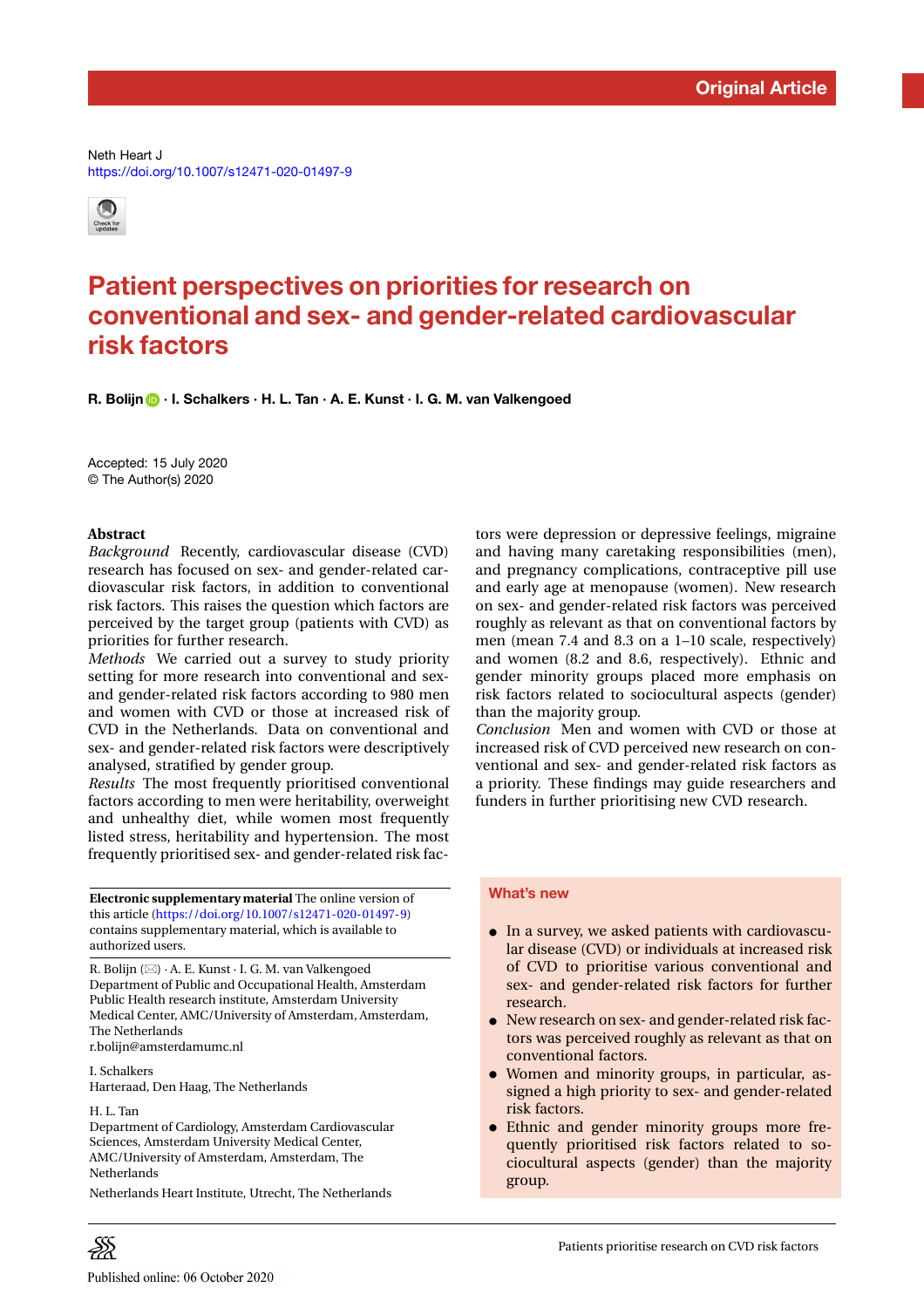Neth Heart J <https://doi.org/10.1007/s12471-020-01497-9>



# **Patient perspectives on priorities for research on conventional and sex- and gender-related cardiovascular risk factors**

**R. Bolijn · I. Schalkers · H. L. Tan · A. E. Kunst · I. G. M. van Valkengoed**

Accepted: 15 July 2020 © The Author(s) 2020

### **Abstract**

*Background* Recently, cardiovascular disease (CVD) research has focused on sex- and gender-related cardiovascular risk factors, in addition to conventional risk factors. This raises the question which factors are perceived by the target group (patients with CVD) as priorities for further research.

*Methods* We carried out a survey to study priority setting for more research into conventional and sexand gender-related risk factors according to 980 men and women with CVD or those at increased risk of CVD in the Netherlands. Data on conventional and sex- and gender-related risk factors were descriptively analysed, stratified by gender group.

*Results* The most frequently prioritised conventional factors according to men were heritability, overweight and unhealthy diet, while women most frequently listed stress, heritability and hypertension. The most frequently prioritised sex- and gender-related risk fac-

**Electronic supplementary material** The online version of this article [\(https://doi.org/10.1007/s12471-020-01497-9\)](https://doi.org/10.1007/s12471-020-01497-9) contains supplementary material, which is available to authorized users.

R. Bolijn ( $\boxtimes$ ) · A. E. Kunst · I. G. M. van Valkengoed Department of Public and Occupational Health, Amsterdam Public Health research institute, Amsterdam University Medical Center, AMC/University of Amsterdam, Amsterdam, The Netherlands r.bolijn@amsterdamumc.nl

I. Schalkers

Harteraad, Den Haag, The Netherlands

H. L. Tan

ÐŚ

Department of Cardiology, Amsterdam Cardiovascular Sciences, Amsterdam University Medical Center, AMC/University of Amsterdam, Amsterdam, The **Netherlands** 

Netherlands Heart Institute, Utrecht, The Netherlands

tors were depression or depressive feelings, migraine and having many caretaking responsibilities (men), and pregnancy complications, contraceptive pill use and early age at menopause (women). New research on sex- and gender-related risk factors was perceived roughly as relevant as that on conventional factors by men (mean 7.4 and 8.3 on a 1–10 scale, respectively) and women (8.2 and 8.6, respectively). Ethnic and gender minority groups placed more emphasis on risk factors related to sociocultural aspects (gender) than the majority group.

*Conclusion* Men and women with CVD or those at increased risk of CVD perceived new research on conventional and sex- and gender-related risk factors as a priority. These findings may guide researchers and funders in further prioritising new CVD research.

#### **What's new**

- In a survey, we asked patients with cardiovascular disease (CVD) or individuals at increased risk of CVD to prioritise various conventional and sex- and gender-related risk factors for further research.
- New research on sex- and gender-related risk factors was perceived roughly as relevant as that on conventional factors.
- Women and minority groups, in particular, assigned a high priority to sex- and gender-related risk factors.
- Ethnic and gender minority groups more frequently prioritised risk factors related to sociocultural aspects (gender) than the majority group.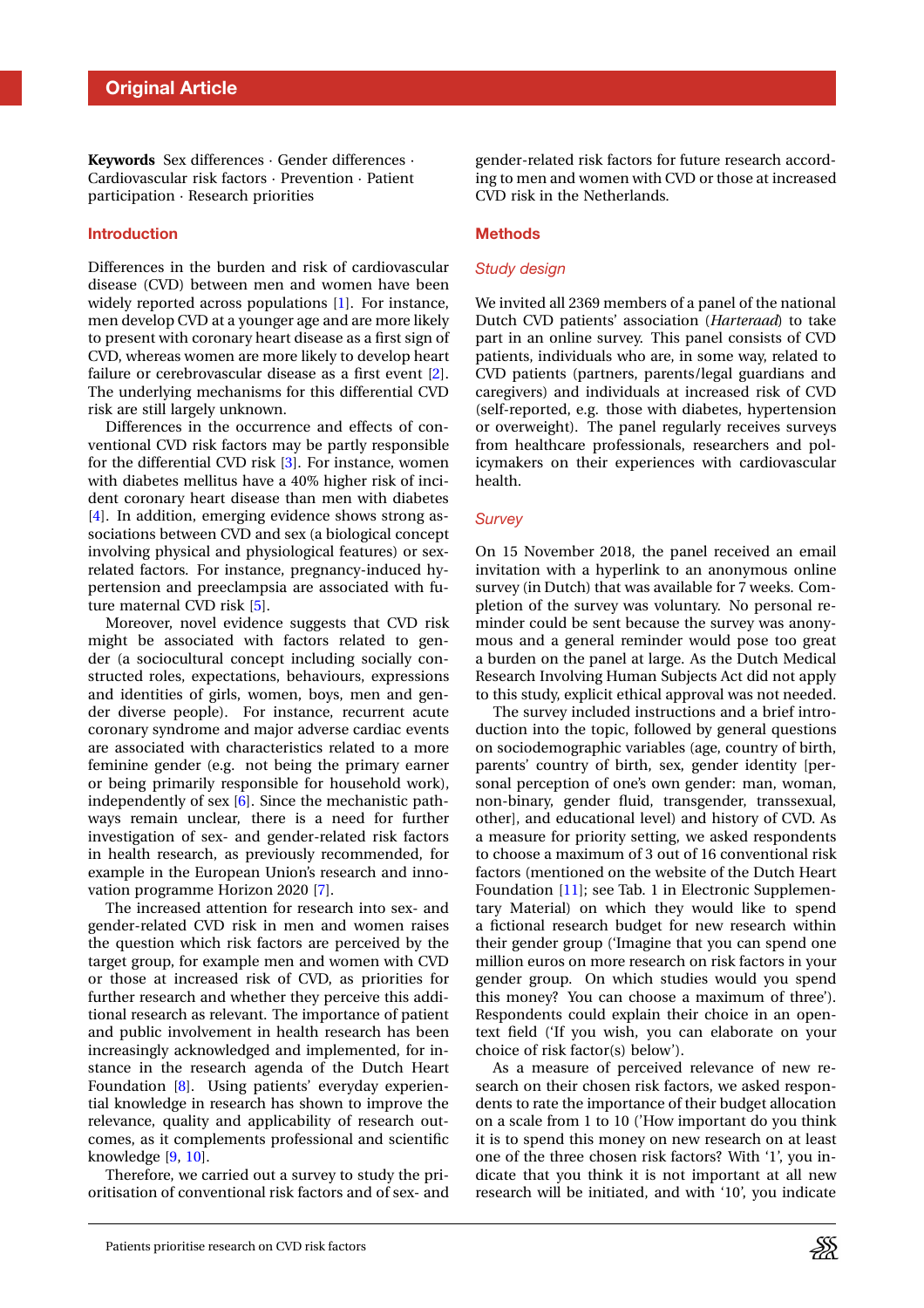**Keywords** Sex differences · Gender differences · Cardiovascular risk factors · Prevention · Patient participation · Research priorities

#### **Introduction**

Differences in the burden and risk of cardiovascular disease (CVD) between men and women have been widely reported across populations [\[1\]](#page-5-0). For instance, men develop CVD at a younger age and are more likely to present with coronary heart disease as a first sign of CVD, whereas women are more likely to develop heart failure or cerebrovascular disease as a first event [\[2\]](#page-5-1). The underlying mechanisms for this differential CVD risk are still largely unknown.

Differences in the occurrence and effects of conventional CVD risk factors may be partly responsible for the differential CVD risk [\[3\]](#page-5-2). For instance, women with diabetes mellitus have a 40% higher risk of incident coronary heart disease than men with diabetes [\[4\]](#page-5-3). In addition, emerging evidence shows strong associations between CVD and sex (a biological concept involving physical and physiological features) or sexrelated factors. For instance, pregnancy-induced hypertension and preeclampsia are associated with future maternal CVD risk [\[5\]](#page-5-4).

Moreover, novel evidence suggests that CVD risk might be associated with factors related to gender (a sociocultural concept including socially constructed roles, expectations, behaviours, expressions and identities of girls, women, boys, men and gender diverse people). For instance, recurrent acute coronary syndrome and major adverse cardiac events are associated with characteristics related to a more feminine gender (e.g. not being the primary earner or being primarily responsible for household work), independently of sex [\[6\]](#page-5-5). Since the mechanistic pathways remain unclear, there is a need for further investigation of sex- and gender-related risk factors in health research, as previously recommended, for example in the European Union's research and innovation programme Horizon 2020 [\[7\]](#page-5-6).

The increased attention for research into sex- and gender-related CVD risk in men and women raises the question which risk factors are perceived by the target group, for example men and women with CVD or those at increased risk of CVD, as priorities for further research and whether they perceive this additional research as relevant. The importance of patient and public involvement in health research has been increasingly acknowledged and implemented, for instance in the research agenda of the Dutch Heart Foundation [\[8\]](#page-5-7). Using patients' everyday experiential knowledge in research has shown to improve the relevance, quality and applicability of research outcomes, as it complements professional and scientific knowledge [\[9,](#page-5-8) [10\]](#page-5-9).

Therefore, we carried out a survey to study the prioritisation of conventional risk factors and of sex- and gender-related risk factors for future research according to men and women with CVD or those at increased CVD risk in the Netherlands.

#### **Methods**

#### *Study design*

We invited all 2369 members of a panel of the national Dutch CVD patients' association (*Harteraad*) to take part in an online survey. This panel consists of CVD patients, individuals who are, in some way, related to CVD patients (partners, parents/legal guardians and caregivers) and individuals at increased risk of CVD (self-reported, e.g. those with diabetes, hypertension or overweight). The panel regularly receives surveys from healthcare professionals, researchers and policymakers on their experiences with cardiovascular health.

#### *Survey*

On 15 November 2018, the panel received an email invitation with a hyperlink to an anonymous online survey (in Dutch) that was available for 7 weeks. Completion of the survey was voluntary. No personal reminder could be sent because the survey was anonymous and a general reminder would pose too great a burden on the panel at large. As the Dutch Medical Research Involving Human Subjects Act did not apply to this study, explicit ethical approval was not needed.

The survey included instructions and a brief introduction into the topic, followed by general questions on sociodemographic variables (age, country of birth, parents' country of birth, sex, gender identity [personal perception of one's own gender: man, woman, non-binary, gender fluid, transgender, transsexual, other], and educational level) and history of CVD. As a measure for priority setting, we asked respondents to choose a maximum of 3 out of 16 conventional risk factors (mentioned on the website of the Dutch Heart Foundation [\[11\]](#page-5-10); see Tab. 1 in Electronic Supplementary Material) on which they would like to spend a fictional research budget for new research within their gender group ('Imagine that you can spend one million euros on more research on risk factors in your gender group. On which studies would you spend this money? You can choose a maximum of three'). Respondents could explain their choice in an opentext field ('If you wish, you can elaborate on your choice of risk factor(s) below').

As a measure of perceived relevance of new research on their chosen risk factors, we asked respondents to rate the importance of their budget allocation on a scale from 1 to 10 ('How important do you think it is to spend this money on new research on at least one of the three chosen risk factors? With '1', you indicate that you think it is not important at all new research will be initiated, and with '10', you indicate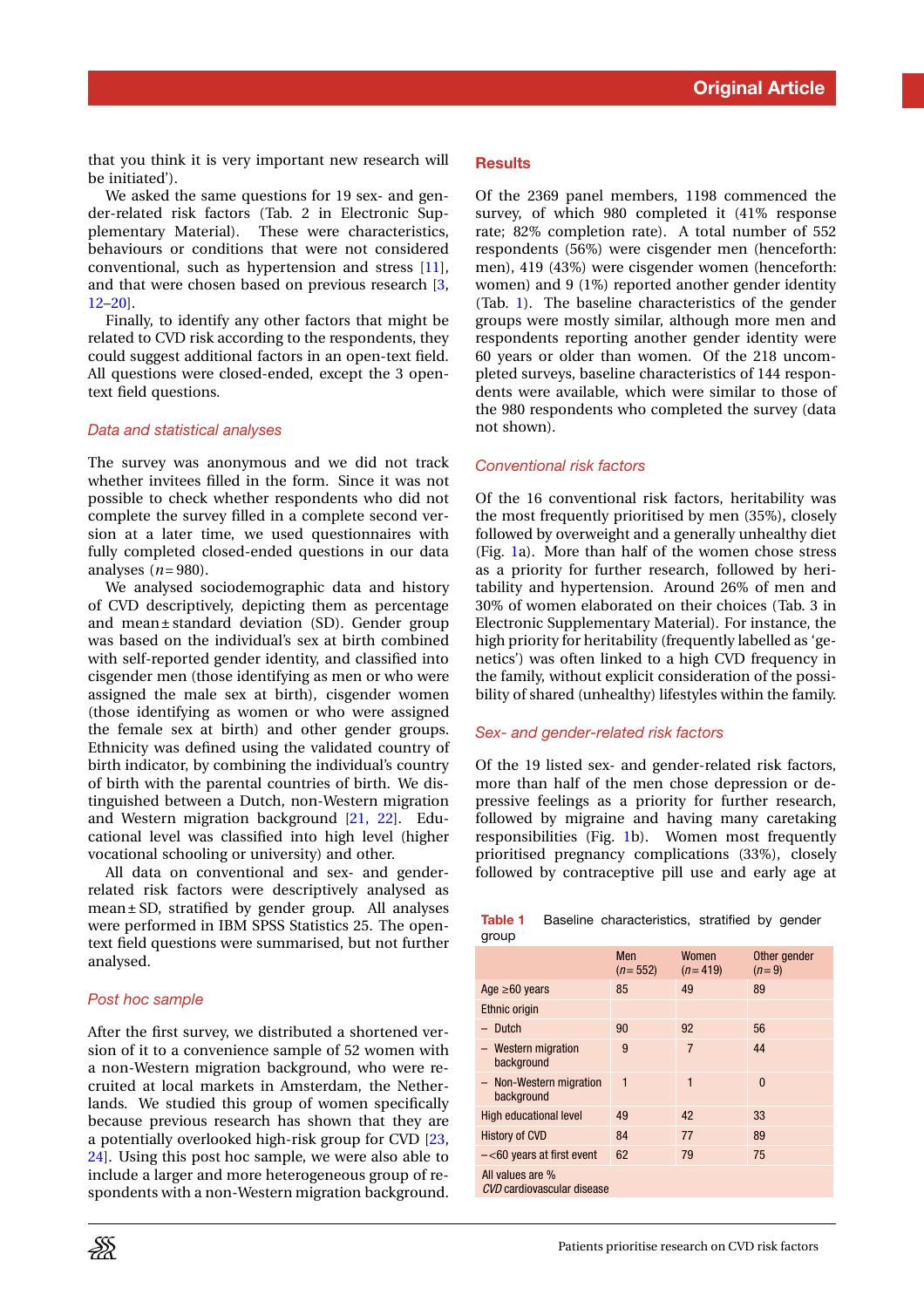that you think it is very important new research will be initiated').

We asked the same questions for 19 sex- and gender-related risk factors (Tab. 2 in Electronic Supplementary Material). These were characteristics, behaviours or conditions that were not considered conventional, such as hypertension and stress [\[11\]](#page-5-10), and that were chosen based on previous research [\[3,](#page-5-2) [12–](#page-5-11)[20\]](#page-5-12).

Finally, to identify any other factors that might be related to CVD risk according to the respondents, they could suggest additional factors in an open-text field. All questions were closed-ended, except the 3 opentext field questions.

#### *Data and statistical analyses*

The survey was anonymous and we did not track whether invitees filled in the form. Since it was not possible to check whether respondents who did not complete the survey filled in a complete second version at a later time, we used questionnaires with fully completed closed-ended questions in our data analyses (*n*= 980).

We analysed sociodemographic data and history of CVD descriptively, depicting them as percentage and mean ± standard deviation (SD). Gender group was based on the individual's sex at birth combined with self-reported gender identity, and classified into cisgender men (those identifying as men or who were assigned the male sex at birth), cisgender women (those identifying as women or who were assigned the female sex at birth) and other gender groups. Ethnicity was defined using the validated country of birth indicator, by combining the individual's country of birth with the parental countries of birth. We distinguished between a Dutch, non-Western migration and Western migration background [\[21,](#page-5-13) [22\]](#page-5-14). Educational level was classified into high level (higher vocational schooling or university) and other.

All data on conventional and sex- and genderrelated risk factors were descriptively analysed as mean ± SD, stratified by gender group. All analyses were performed in IBM SPSS Statistics 25. The opentext field questions were summarised, but not further analysed.

#### *Post hoc sample*

Þ

After the first survey, we distributed a shortened version of it to a convenience sample of 52 women with a non-Western migration background, who were recruited at local markets in Amsterdam, the Netherlands. We studied this group of women specifically because previous research has shown that they are a potentially overlooked high-risk group for CVD [\[23,](#page-5-15) [24\]](#page-5-16). Using this post hoc sample, we were also able to include a larger and more heterogeneous group of respondents with a non-Western migration background.

#### **Results**

Of the 2369 panel members, 1198 commenced the survey, of which 980 completed it (41% response rate; 82% completion rate). A total number of 552 respondents (56%) were cisgender men (henceforth: men), 419 (43%) were cisgender women (henceforth: women) and 9 (1%) reported another gender identity (Tab. [1\)](#page-2-0). The baseline characteristics of the gender groups were mostly similar, although more men and respondents reporting another gender identity were 60 years or older than women. Of the 218 uncompleted surveys, baseline characteristics of 144 respondents were available, which were similar to those of the 980 respondents who completed the survey (data not shown).

#### *Conventional risk factors*

Of the 16 conventional risk factors, heritability was the most frequently prioritised by men (35%), closely followed by overweight and a generally unhealthy diet (Fig. [1a](#page-3-0)). More than half of the women chose stress as a priority for further research, followed by heritability and hypertension. Around 26% of men and 30% of women elaborated on their choices (Tab. 3 in Electronic Supplementary Material). For instance, the high priority for heritability (frequently labelled as 'genetics') was often linked to a high CVD frequency in the family, without explicit consideration of the possibility of shared (unhealthy) lifestyles within the family.

#### *Sex- and gender-related risk factors*

Of the 19 listed sex- and gender-related risk factors, more than half of the men chose depression or depressive feelings as a priority for further research, followed by migraine and having many caretaking responsibilities (Fig. [1b](#page-3-0)). Women most frequently prioritised pregnancy complications (33%), closely followed by contraceptive pill use and early age at

|       | <b>Table 1</b> Baseline characteristics, stratified by gender |  |  |
|-------|---------------------------------------------------------------|--|--|
| group |                                                               |  |  |

<span id="page-2-0"></span>

|                                                | Men<br>$(n=552)$ | Women<br>$(n=419)$ | Other gender<br>$(n=9)$ |  |  |
|------------------------------------------------|------------------|--------------------|-------------------------|--|--|
| Age $\geq 60$ years                            | 85               | 49                 | 89                      |  |  |
| Ethnic origin                                  |                  |                    |                         |  |  |
| Dutch                                          | 90               | 92                 | 56                      |  |  |
| - Western migration<br>background              | 9                | $\overline{7}$     | 44                      |  |  |
| - Non-Western migration<br>background          | 1                | 1                  | $\mathbf{0}$            |  |  |
| <b>High educational level</b>                  | 49               | 42                 | 33                      |  |  |
| History of CVD                                 | 84               | 77                 | 89                      |  |  |
| $-\leq 60$ years at first event                | 62               | 79                 | 75                      |  |  |
| All values are %<br>CVD cardiovascular disease |                  |                    |                         |  |  |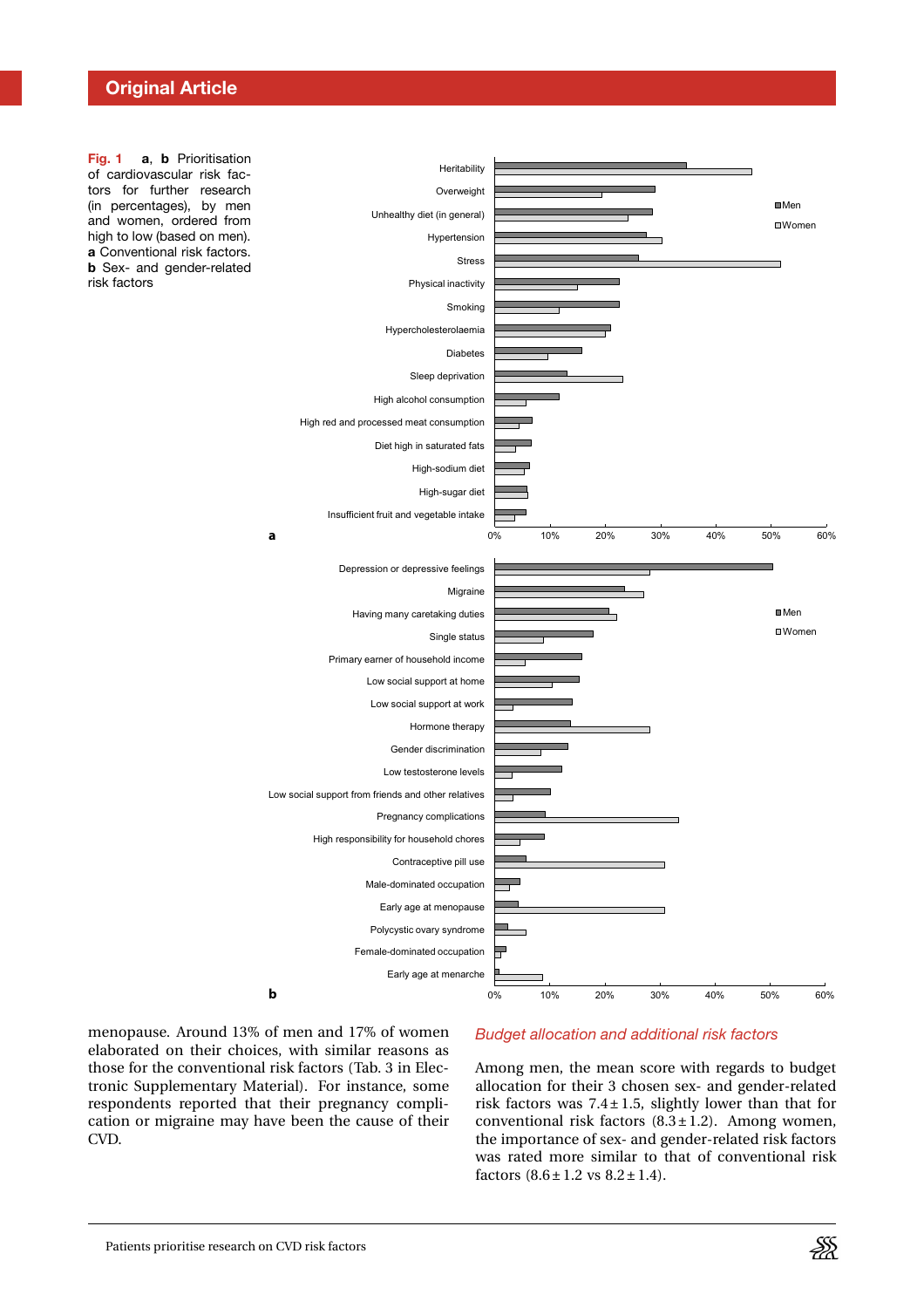## **Original Article**

<span id="page-3-0"></span>**Fig. 1 a**, **b** Prioritisation of cardiovascular risk factors for further research (in percentages), by men and women, ordered from high to low (based on men). **a** Conventional risk factors. **b** Sex- and gender-related risk factors



menopause. Around 13% of men and 17% of women elaborated on their choices, with similar reasons as those for the conventional risk factors (Tab. 3 in Electronic Supplementary Material). For instance, some respondents reported that their pregnancy complication or migraine may have been the cause of their CVD.

## *Budget allocation and additional risk factors*

Among men, the mean score with regards to budget allocation for their 3 chosen sex- and gender-related risk factors was  $7.4 \pm 1.5$ , slightly lower than that for conventional risk factors  $(8.3 \pm 1.2)$ . Among women, the importance of sex- and gender-related risk factors was rated more similar to that of conventional risk factors  $(8.6 \pm 1.2 \text{ vs } 8.2 \pm 1.4)$ .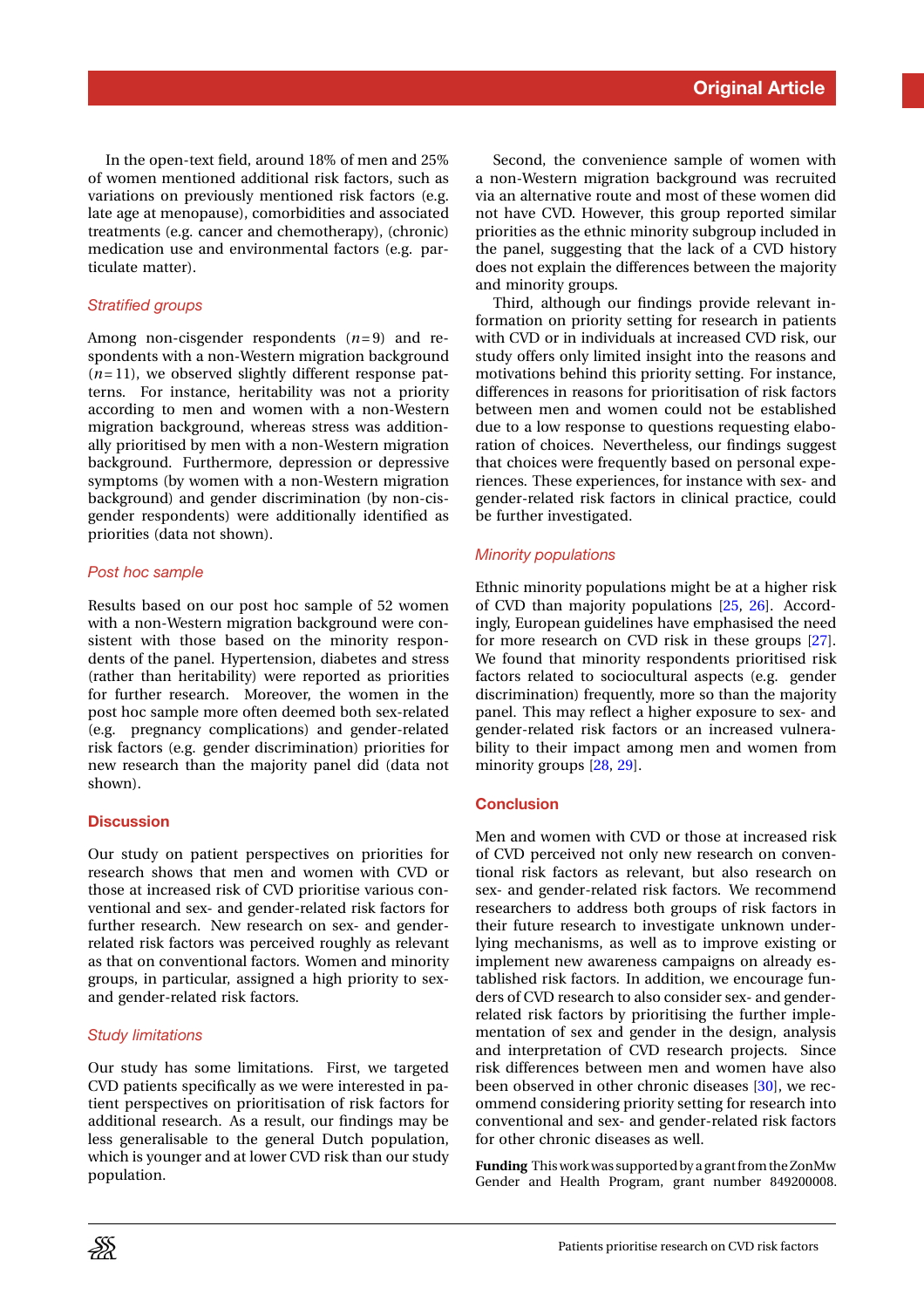In the open-text field, around 18% of men and 25% of women mentioned additional risk factors, such as variations on previously mentioned risk factors (e.g. late age at menopause), comorbidities and associated treatments (e.g. cancer and chemotherapy), (chronic) medication use and environmental factors (e.g. particulate matter).

## *Stratified groups*

Among non-cisgender respondents (*n*= 9) and respondents with a non-Western migration background  $(n=11)$ , we observed slightly different response patterns. For instance, heritability was not a priority according to men and women with a non-Western migration background, whereas stress was additionally prioritised by men with a non-Western migration background. Furthermore, depression or depressive symptoms (by women with a non-Western migration background) and gender discrimination (by non-cisgender respondents) were additionally identified as priorities (data not shown).

## *Post hoc sample*

Results based on our post hoc sample of 52 women with a non-Western migration background were consistent with those based on the minority respondents of the panel. Hypertension, diabetes and stress (rather than heritability) were reported as priorities for further research. Moreover, the women in the post hoc sample more often deemed both sex-related (e.g. pregnancy complications) and gender-related risk factors (e.g. gender discrimination) priorities for new research than the majority panel did (data not shown).

## **Discussion**

Our study on patient perspectives on priorities for research shows that men and women with CVD or those at increased risk of CVD prioritise various conventional and sex- and gender-related risk factors for further research. New research on sex- and genderrelated risk factors was perceived roughly as relevant as that on conventional factors. Women and minority groups, in particular, assigned a high priority to sexand gender-related risk factors.

## *Study limitations*

Our study has some limitations. First, we targeted CVD patients specifically as we were interested in patient perspectives on prioritisation of risk factors for additional research. As a result, our findings may be less generalisable to the general Dutch population, which is younger and at lower CVD risk than our study population.

Second, the convenience sample of women with a non-Western migration background was recruited via an alternative route and most of these women did not have CVD. However, this group reported similar priorities as the ethnic minority subgroup included in the panel, suggesting that the lack of a CVD history does not explain the differences between the majority and minority groups.

Third, although our findings provide relevant information on priority setting for research in patients with CVD or in individuals at increased CVD risk, our study offers only limited insight into the reasons and motivations behind this priority setting. For instance, differences in reasons for prioritisation of risk factors between men and women could not be established due to a low response to questions requesting elaboration of choices. Nevertheless, our findings suggest that choices were frequently based on personal experiences. These experiences, for instance with sex- and gender-related risk factors in clinical practice, could be further investigated.

## *Minority populations*

Ethnic minority populations might be at a higher risk of CVD than majority populations [\[25,](#page-5-17) [26\]](#page-5-18). Accordingly, European guidelines have emphasised the need for more research on CVD risk in these groups [\[27\]](#page-5-19). We found that minority respondents prioritised risk factors related to sociocultural aspects (e.g. gender discrimination) frequently, more so than the majority panel. This may reflect a higher exposure to sex- and gender-related risk factors or an increased vulnerability to their impact among men and women from minority groups [\[28,](#page-5-20) [29\]](#page-5-21).

## **Conclusion**

Men and women with CVD or those at increased risk of CVD perceived not only new research on conventional risk factors as relevant, but also research on sex- and gender-related risk factors. We recommend researchers to address both groups of risk factors in their future research to investigate unknown underlying mechanisms, as well as to improve existing or implement new awareness campaigns on already established risk factors. In addition, we encourage funders of CVD research to also consider sex- and genderrelated risk factors by prioritising the further implementation of sex and gender in the design, analysis and interpretation of CVD research projects. Since risk differences between men and women have also been observed in other chronic diseases [\[30\]](#page-5-22), we recommend considering priority setting for research into conventional and sex- and gender-related risk factors for other chronic diseases as well.

**Funding** This work was supported by a grant from the ZonMw Gender and Health Program, grant number 849200008.